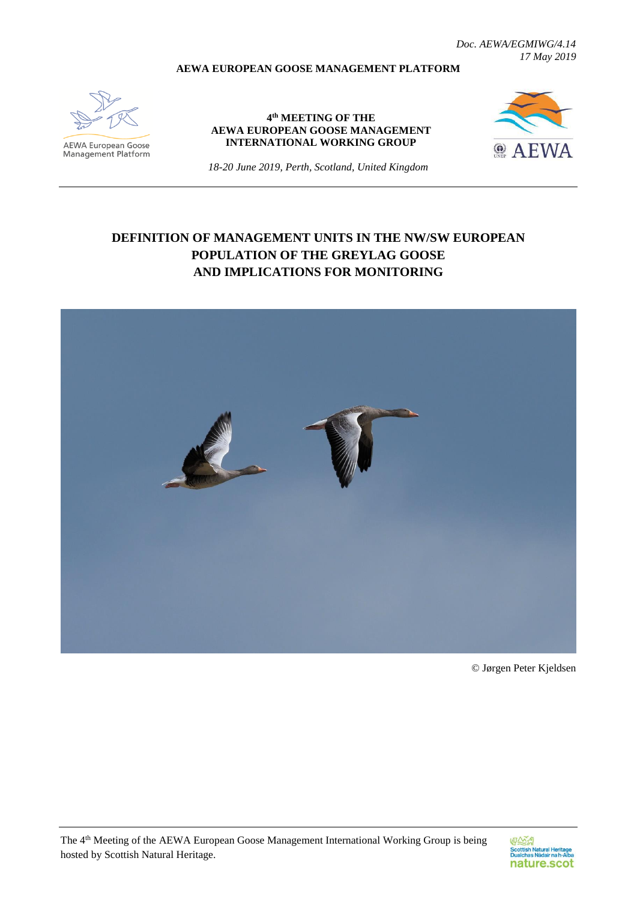*Doc. AEWA/EGMIWG/4.14 17 May 2019*

### **AEWA EUROPEAN GOOSE MANAGEMENT PLATFORM**



**AEWA European Goose**<br>Management Platform

#### **4 th MEETING OF THE AEWA EUROPEAN GOOSE MANAGEMENT INTERNATIONAL WORKING GROUP**



*18-20 June 2019, Perth, Scotland, United Kingdom*

# **DEFINITION OF MANAGEMENT UNITS IN THE NW/SW EUROPEAN POPULATION OF THE GREYLAG GOOSE AND IMPLICATIONS FOR MONITORING**



© Jørgen Peter Kjeldsen

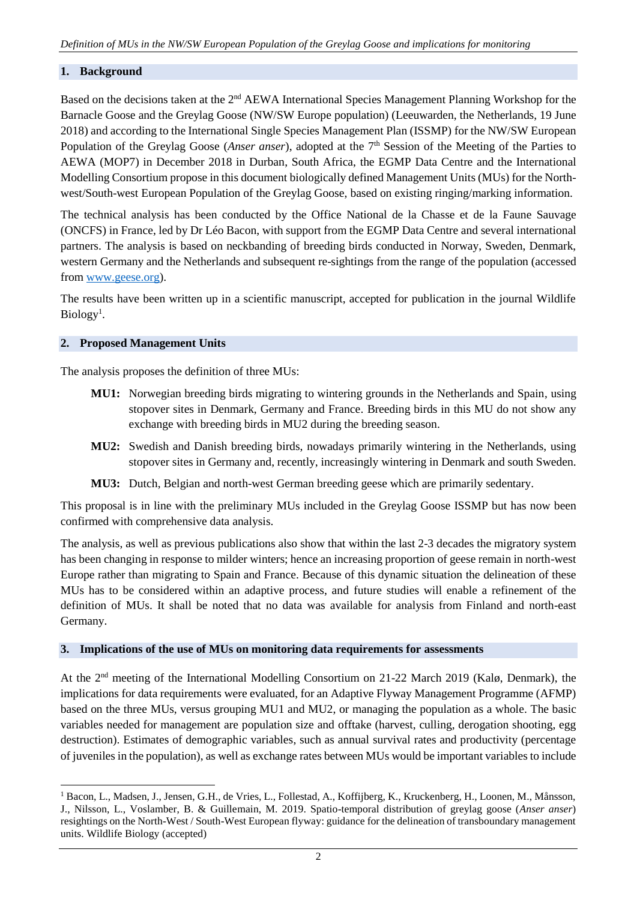### **1. Background**

Based on the decisions taken at the 2<sup>nd</sup> AEWA International Species Management Planning Workshop for the Barnacle Goose and the Greylag Goose (NW/SW Europe population) (Leeuwarden, the Netherlands, 19 June 2018) and according to the International Single Species Management Plan (ISSMP) for the NW/SW European Population of the Greylag Goose (*Anser anser*), adopted at the 7<sup>th</sup> Session of the Meeting of the Parties to AEWA (MOP7) in December 2018 in Durban, South Africa, the EGMP Data Centre and the International Modelling Consortium propose in this document biologically defined Management Units (MUs) for the Northwest/South-west European Population of the Greylag Goose, based on existing ringing/marking information.

The technical analysis has been conducted by the Office National de la Chasse et de la Faune Sauvage (ONCFS) in France, led by Dr Léo Bacon, with support from the EGMP Data Centre and several international partners. The analysis is based on neckbanding of breeding birds conducted in Norway, Sweden, Denmark, western Germany and the Netherlands and subsequent re-sightings from the range of the population (accessed from [www.geese.org\)](http://www.geese.org/).

The results have been written up in a scientific manuscript, accepted for publication in the journal Wildlife  $Biology<sup>1</sup>$ .

#### **2. Proposed Management Units**

1

The analysis proposes the definition of three MUs:

- **MU1:** Norwegian breeding birds migrating to wintering grounds in the Netherlands and Spain, using stopover sites in Denmark, Germany and France. Breeding birds in this MU do not show any exchange with breeding birds in MU2 during the breeding season.
- **MU2:** Swedish and Danish breeding birds, nowadays primarily wintering in the Netherlands, using stopover sites in Germany and, recently, increasingly wintering in Denmark and south Sweden.
- **MU3:** Dutch, Belgian and north-west German breeding geese which are primarily sedentary.

This proposal is in line with the preliminary MUs included in the Greylag Goose ISSMP but has now been confirmed with comprehensive data analysis.

The analysis, as well as previous publications also show that within the last 2-3 decades the migratory system has been changing in response to milder winters; hence an increasing proportion of geese remain in north-west Europe rather than migrating to Spain and France. Because of this dynamic situation the delineation of these MUs has to be considered within an adaptive process, and future studies will enable a refinement of the definition of MUs. It shall be noted that no data was available for analysis from Finland and north-east Germany.

### **3. Implications of the use of MUs on monitoring data requirements for assessments**

At the 2<sup>nd</sup> meeting of the International Modelling Consortium on 21-22 March 2019 (Kalø, Denmark), the implications for data requirements were evaluated, for an Adaptive Flyway Management Programme (AFMP) based on the three MUs, versus grouping MU1 and MU2, or managing the population as a whole. The basic variables needed for management are population size and offtake (harvest, culling, derogation shooting, egg destruction). Estimates of demographic variables, such as annual survival rates and productivity (percentage of juveniles in the population), as well as exchange rates between MUs would be important variables to include

<sup>1</sup> Bacon, L., Madsen, J., Jensen, G.H., de Vries, L., Follestad, A., Koffijberg, K., Kruckenberg, H., Loonen, M., Månsson, J., Nilsson, L., Voslamber, B. & Guillemain, M. 2019. Spatio-temporal distribution of greylag goose (*Anser anser*) resightings on the North-West / South-West European flyway: guidance for the delineation of transboundary management units. Wildlife Biology (accepted)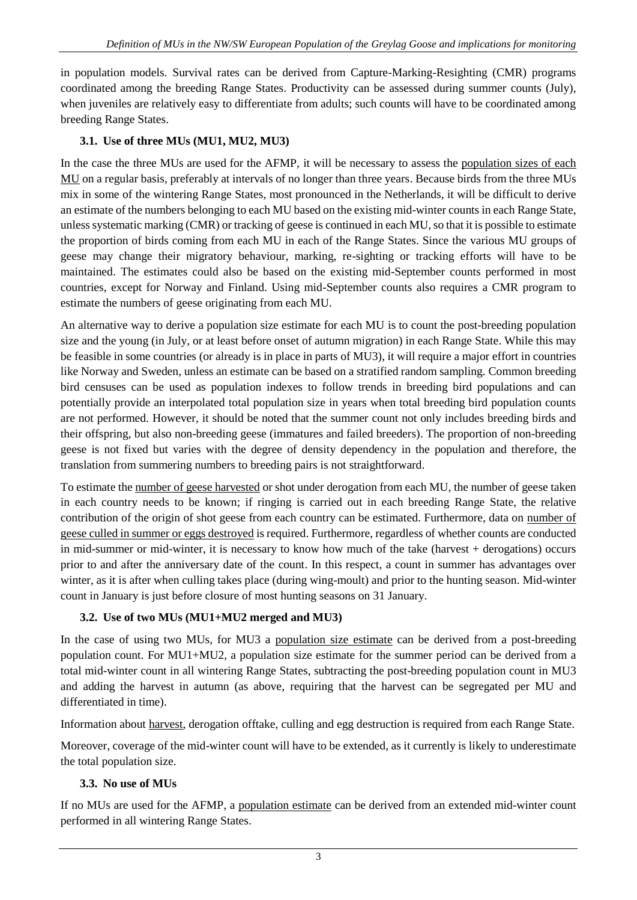in population models. Survival rates can be derived from Capture-Marking-Resighting (CMR) programs coordinated among the breeding Range States. Productivity can be assessed during summer counts (July), when juveniles are relatively easy to differentiate from adults; such counts will have to be coordinated among breeding Range States.

## **3.1. Use of three MUs (MU1, MU2, MU3)**

In the case the three MUs are used for the AFMP, it will be necessary to assess the population sizes of each MU on a regular basis, preferably at intervals of no longer than three years. Because birds from the three MUs mix in some of the wintering Range States, most pronounced in the Netherlands, it will be difficult to derive an estimate of the numbers belonging to each MU based on the existing mid-winter counts in each Range State, unless systematic marking (CMR) or tracking of geese is continued in each MU, so that it is possible to estimate the proportion of birds coming from each MU in each of the Range States. Since the various MU groups of geese may change their migratory behaviour, marking, re-sighting or tracking efforts will have to be maintained. The estimates could also be based on the existing mid-September counts performed in most countries, except for Norway and Finland. Using mid-September counts also requires a CMR program to estimate the numbers of geese originating from each MU.

An alternative way to derive a population size estimate for each MU is to count the post-breeding population size and the young (in July, or at least before onset of autumn migration) in each Range State. While this may be feasible in some countries (or already is in place in parts of MU3), it will require a major effort in countries like Norway and Sweden, unless an estimate can be based on a stratified random sampling. Common breeding bird censuses can be used as population indexes to follow trends in breeding bird populations and can potentially provide an interpolated total population size in years when total breeding bird population counts are not performed. However, it should be noted that the summer count not only includes breeding birds and their offspring, but also non-breeding geese (immatures and failed breeders). The proportion of non-breeding geese is not fixed but varies with the degree of density dependency in the population and therefore, the translation from summering numbers to breeding pairs is not straightforward.

To estimate the number of geese harvested or shot under derogation from each MU, the number of geese taken in each country needs to be known; if ringing is carried out in each breeding Range State, the relative contribution of the origin of shot geese from each country can be estimated. Furthermore, data on number of geese culled in summer or eggs destroyed is required. Furthermore, regardless of whether counts are conducted in mid-summer or mid-winter, it is necessary to know how much of the take (harvest + derogations) occurs prior to and after the anniversary date of the count. In this respect, a count in summer has advantages over winter, as it is after when culling takes place (during wing-moult) and prior to the hunting season. Mid-winter count in January is just before closure of most hunting seasons on 31 January.

# **3.2. Use of two MUs (MU1+MU2 merged and MU3)**

In the case of using two MUs, for MU3 a population size estimate can be derived from a post-breeding population count. For MU1+MU2, a population size estimate for the summer period can be derived from a total mid-winter count in all wintering Range States, subtracting the post-breeding population count in MU3 and adding the harvest in autumn (as above, requiring that the harvest can be segregated per MU and differentiated in time).

Information about harvest, derogation offtake, culling and egg destruction is required from each Range State.

Moreover, coverage of the mid-winter count will have to be extended, as it currently is likely to underestimate the total population size.

## **3.3. No use of MUs**

If no MUs are used for the AFMP, a population estimate can be derived from an extended mid-winter count performed in all wintering Range States.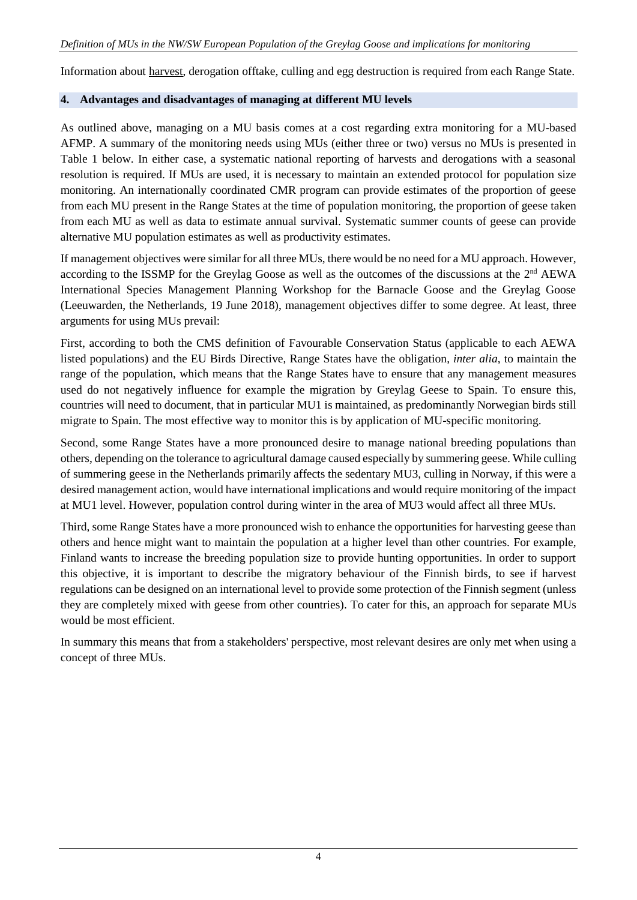Information about harvest, derogation offtake, culling and egg destruction is required from each Range State.

### **4. Advantages and disadvantages of managing at different MU levels**

As outlined above, managing on a MU basis comes at a cost regarding extra monitoring for a MU-based AFMP. A summary of the monitoring needs using MUs (either three or two) versus no MUs is presented in Table 1 below. In either case, a systematic national reporting of harvests and derogations with a seasonal resolution is required. If MUs are used, it is necessary to maintain an extended protocol for population size monitoring. An internationally coordinated CMR program can provide estimates of the proportion of geese from each MU present in the Range States at the time of population monitoring, the proportion of geese taken from each MU as well as data to estimate annual survival. Systematic summer counts of geese can provide alternative MU population estimates as well as productivity estimates.

If management objectives were similar for all three MUs, there would be no need for a MU approach. However, according to the ISSMP for the Greylag Goose as well as the outcomes of the discussions at the 2<sup>nd</sup> AEWA International Species Management Planning Workshop for the Barnacle Goose and the Greylag Goose (Leeuwarden, the Netherlands, 19 June 2018), management objectives differ to some degree. At least, three arguments for using MUs prevail:

First, according to both the CMS definition of Favourable Conservation Status (applicable to each AEWA listed populations) and the EU Birds Directive, Range States have the obligation, *inter alia*, to maintain the range of the population, which means that the Range States have to ensure that any management measures used do not negatively influence for example the migration by Greylag Geese to Spain. To ensure this, countries will need to document, that in particular MU1 is maintained, as predominantly Norwegian birds still migrate to Spain. The most effective way to monitor this is by application of MU-specific monitoring.

Second, some Range States have a more pronounced desire to manage national breeding populations than others, depending on the tolerance to agricultural damage caused especially by summering geese. While culling of summering geese in the Netherlands primarily affects the sedentary MU3, culling in Norway, if this were a desired management action, would have international implications and would require monitoring of the impact at MU1 level. However, population control during winter in the area of MU3 would affect all three MUs.

Third, some Range States have a more pronounced wish to enhance the opportunities for harvesting geese than others and hence might want to maintain the population at a higher level than other countries. For example, Finland wants to increase the breeding population size to provide hunting opportunities. In order to support this objective, it is important to describe the migratory behaviour of the Finnish birds, to see if harvest regulations can be designed on an international level to provide some protection of the Finnish segment (unless they are completely mixed with geese from other countries). To cater for this, an approach for separate MUs would be most efficient.

In summary this means that from a stakeholders' perspective, most relevant desires are only met when using a concept of three MUs.